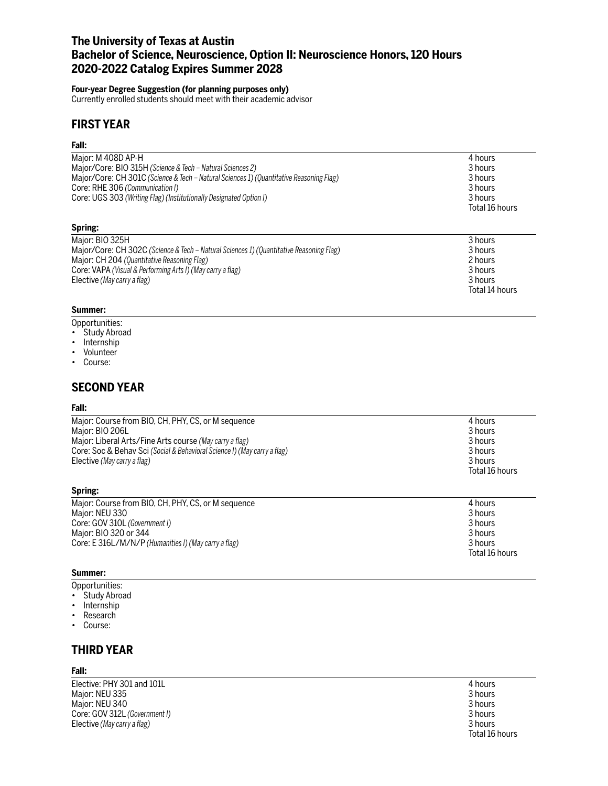# **The University of Texas at Austin Bachelor of Science, Neuroscience, Option II: Neuroscience Honors, 120 Hours 2020-2022 Catalog Expires Summer 2028**

### **Four-year Degree Suggestion (for planning purposes only)**

Currently enrolled students should meet with their academic advisor

# **FIRST YEAR**

### **Fall:**

| Major: M 408D AP-H                                                                      | 4 hours        |
|-----------------------------------------------------------------------------------------|----------------|
| Major/Core: BIO 315H (Science & Tech – Natural Sciences 2)                              | 3 hours        |
| Major/Core: CH 301C (Science & Tech - Natural Sciences 1) (Quantitative Reasoning Flag) | 3 hours        |
| Core: RHE 306 (Communication I)                                                         | 3 hours        |
| Core: UGS 303 (Writing Flag) (Institutionally Designated Option I)                      | 3 hours        |
|                                                                                         | Total 16 hours |
| Spring:                                                                                 |                |
| Major: BIO 325H                                                                         | 3 hours        |
| Major/Core: CH 302C (Science & Tech - Natural Sciences 1) (Quantitative Reasoning Flag) | 3 hours        |
|                                                                                         | $\sim$ .       |

| $\alpha$ ividio $\alpha$ cores to $\alpha$ is the contribution of the contribution of the contribution of $\alpha$ is the contribution of $\alpha$ | <b>JIJUULS</b> |
|----------------------------------------------------------------------------------------------------------------------------------------------------|----------------|
| Major: CH 204 (Quantitative Reasoning Flag)                                                                                                        | 2 hours        |
| Core: VAPA (Visual & Performing Arts I) (May carry a flag)                                                                                         | 3 hours        |
| Elective (May carry a flag)                                                                                                                        | 3 hours        |
|                                                                                                                                                    | Total 14 hours |

### **Summer:**

- Opportunities:
- Study Abroad
- Internship
- Volunteer
- Course:

# **SECOND YEAR**

### **Fall:**

| Major: Course from BIO, CH, PHY, CS, or M sequence<br>Major: BIO 206L<br>Major: Liberal Arts/Fine Arts course (May carry a flag)<br>Core: Soc & Behav Sci (Social & Behavioral Science I) (May carry a flag)<br>Elective (May carry a flag) | 4 hours<br>3 hours<br>3 hours<br>3 hours<br>3 hours<br>Total 16 hours |
|---------------------------------------------------------------------------------------------------------------------------------------------------------------------------------------------------------------------------------------------|-----------------------------------------------------------------------|
| Spring:                                                                                                                                                                                                                                     |                                                                       |

| Major: Course from BIO, CH, PHY, CS, or M sequence   | 4 hours        |
|------------------------------------------------------|----------------|
| Major: NEU 330                                       | 3 hours        |
| Core: GOV 310L (Government I)                        | 3 hours        |
| Maior: BIO 320 or 344                                | 3 hours        |
| Core: E 316L/M/N/P (Humanities I) (May carry a flag) | 3 hours        |
|                                                      | Total 16 hours |

### **Summer:**

- Opportunities:
- Study Abroad
- Internship
- Research
- Course:

# **THIRD YEAR**

### **Fall:**

Elective: PHY 301 and 101L 4 hours<br>
Major: NEU 335 3 hours Major: NEU 335 3 hours<br>Major: NEU 340 3 hours 3 hours 3 hours 3 hours 3 hours 3 hours 3 hours 3 hours 3 hours Major: NEU 340 3 hours<br>
Core: GOV 312L *(Government I)* 3 and 3 hours 3 hours 3 hours 3 hours 3 hours 3 hours 3 hours 3 hours 3 hours Core: GOV 312L *(Government I)* 3 hours<br>
Elective *(May carry a flag)* 3 3 3 hours<br>
3 hours Elective (May carry a flag)

Total 16 hours